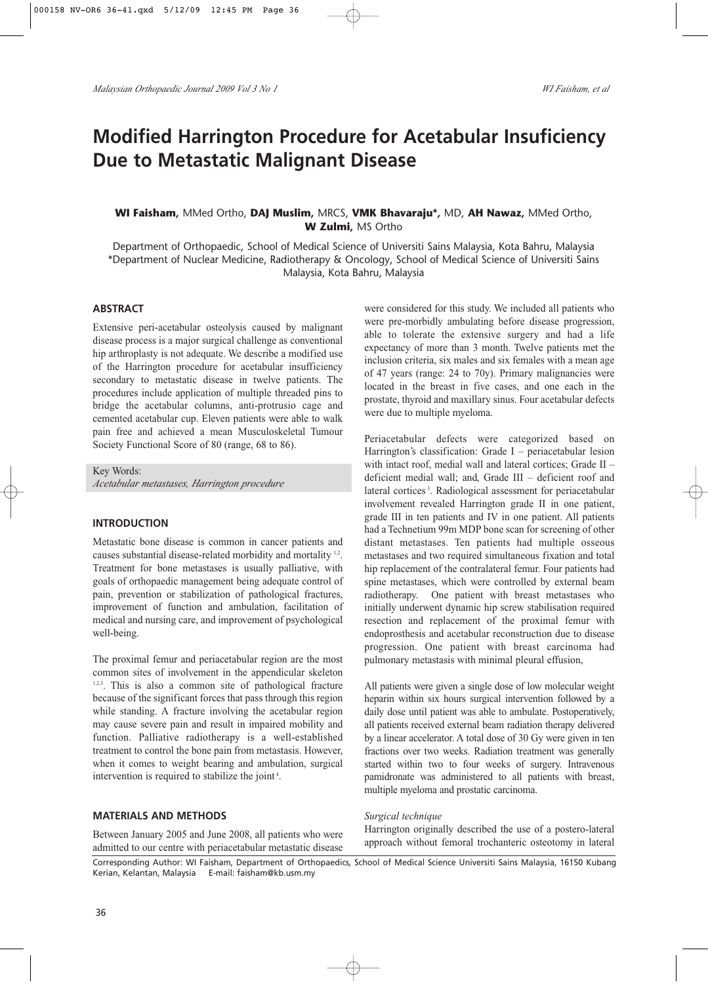# **Modified Harrington Procedure for Acetabular Insuficiency Due to Metastatic Malignant Disease**

## **WI Faisham,** MMed Ortho, **DAJ Muslim,** MRCS, **VMK Bhavaraju\*,** MD, **AH Nawaz,** MMed Ortho, **W Zulmi,** MS Ortho

Department of Orthopaedic, School of Medical Science of Universiti Sains Malaysia, Kota Bahru, Malaysia \*Department of Nuclear Medicine, Radiotherapy & Oncology, School of Medical Science of Universiti Sains Malaysia, Kota Bahru, Malaysia

## **ABSTRACT**

Extensive peri-acetabular osteolysis caused by malignant disease process is a major surgical challenge as conventional hip arthroplasty is not adequate. We describe a modified use of the Harrington procedure for acetabular insufficiency secondary to metastatic disease in twelve patients. The procedures include application of multiple threaded pins to bridge the acetabular columns, anti-protrusio cage and cemented acetabular cup. Eleven patients were able to walk pain free and achieved a mean Musculoskeletal Tumour Society Functional Score of 80 (range, 68 to 86).

Key Words: *Acetabular metastases, Harrington procedure*

#### **INTRODUCTION**

Metastatic bone disease is common in cancer patients and causes substantial disease-related morbidity and mortality <sup>1,2</sup>. Treatment for bone metastases is usually palliative, with goals of orthopaedic management being adequate control of pain, prevention or stabilization of pathological fractures, improvement of function and ambulation, facilitation of medical and nursing care, and improvement of psychological well-being.

The proximal femur and periacetabular region are the most common sites of involvement in the appendicular skeleton <sup>1,2,3</sup>. This is also a common site of pathological fracture because of the significant forces that pass through this region while standing. A fracture involving the acetabular region may cause severe pain and result in impaired mobility and function. Palliative radiotherapy is a well-established treatment to control the bone pain from metastasis. However, when it comes to weight bearing and ambulation, surgical intervention is required to stabilize the joint<sup>4</sup>.

#### **MATERIALS AND METHODS**

Between January 2005 and June 2008, all patients who were admitted to our centre with periacetabular metastatic disease were considered for this study. We included all patients who were pre-morbidly ambulating before disease progression, able to tolerate the extensive surgery and had a life expectancy of more than 3 month. Twelve patients met the inclusion criteria, six males and six females with a mean age of 47 years (range: 24 to 70y). Primary malignancies were located in the breast in five cases, and one each in the prostate, thyroid and maxillary sinus. Four acetabular defects were due to multiple myeloma.

Periacetabular defects were categorized based on Harrington's classification: Grade  $I$  – periacetabular lesion with intact roof, medial wall and lateral cortices; Grade II – deficient medial wall; and, Grade III – deficient roof and lateral cortices<sup>3</sup>. Radiological assessment for periacetabular involvement revealed Harrington grade II in one patient, grade III in ten patients and IV in one patient. All patients had a Technetium 99m MDP bone scan for screening of other distant metastases. Ten patients had multiple osseous metastases and two required simultaneous fixation and total hip replacement of the contralateral femur. Four patients had spine metastases, which were controlled by external beam radiotherapy. One patient with breast metastases who initially underwent dynamic hip screw stabilisation required resection and replacement of the proximal femur with endoprosthesis and acetabular reconstruction due to disease progression. One patient with breast carcinoma had pulmonary metastasis with minimal pleural effusion,

All patients were given a single dose of low molecular weight heparin within six hours surgical intervention followed by a daily dose until patient was able to ambulate. Postoperatively, all patients received external beam radiation therapy delivered by a linear accelerator. A total dose of 30 Gy were given in ten fractions over two weeks. Radiation treatment was generally started within two to four weeks of surgery. Intravenous pamidronate was administered to all patients with breast, multiple myeloma and prostatic carcinoma.

#### *Surgical technique*

Harrington originally described the use of a postero-lateral approach without femoral trochanteric osteotomy in lateral

Corresponding Author: WI Faisham, Department of Orthopaedics, School of Medical Science Universiti Sains Malaysia, 16150 Kubang Kerian, Kelantan, Malaysia E-mail: faisham@kb.usm.my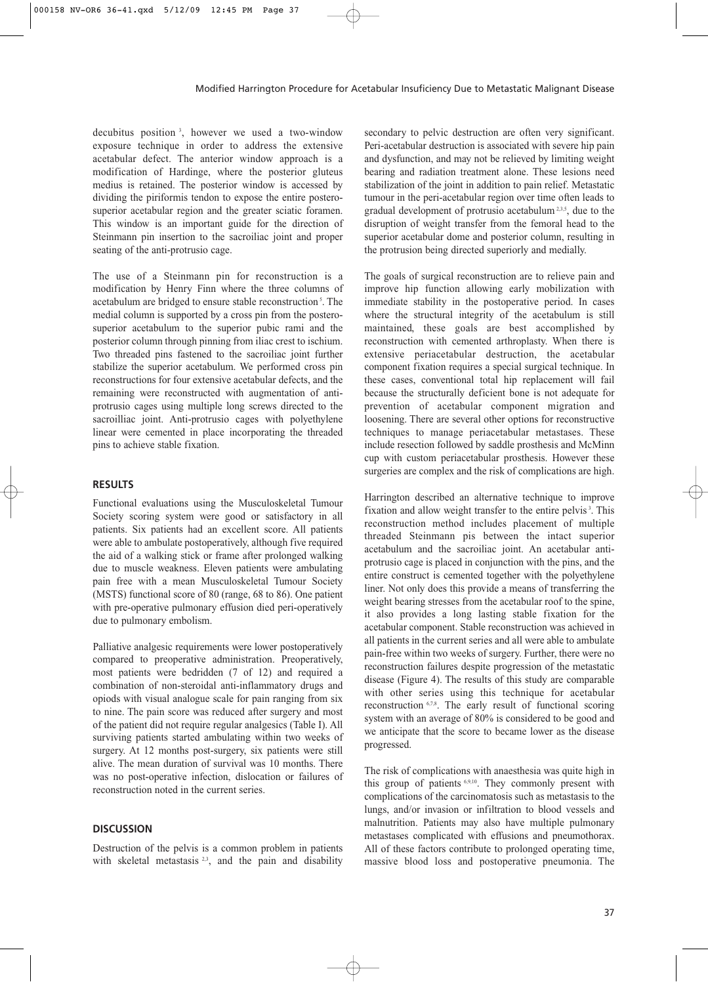decubitus position <sup>3</sup> , however we used a two-window exposure technique in order to address the extensive acetabular defect. The anterior window approach is a modification of Hardinge, where the posterior gluteus medius is retained. The posterior window is accessed by dividing the piriformis tendon to expose the entire posterosuperior acetabular region and the greater sciatic foramen. This window is an important guide for the direction of Steinmann pin insertion to the sacroiliac joint and proper seating of the anti-protrusio cage.

The use of a Steinmann pin for reconstruction is a modification by Henry Finn where the three columns of acetabulum are bridged to ensure stable reconstruction<sup>5</sup>. The medial column is supported by a cross pin from the posterosuperior acetabulum to the superior pubic rami and the posterior column through pinning from iliac crest to ischium. Two threaded pins fastened to the sacroiliac joint further stabilize the superior acetabulum. We performed cross pin reconstructions for four extensive acetabular defects, and the remaining were reconstructed with augmentation of antiprotrusio cages using multiple long screws directed to the sacroilliac joint. Anti-protrusio cages with polyethylene linear were cemented in place incorporating the threaded pins to achieve stable fixation.

## **RESULTS**

Functional evaluations using the Musculoskeletal Tumour Society scoring system were good or satisfactory in all patients. Six patients had an excellent score. All patients were able to ambulate postoperatively, although five required the aid of a walking stick or frame after prolonged walking due to muscle weakness. Eleven patients were ambulating pain free with a mean Musculoskeletal Tumour Society (MSTS) functional score of 80 (range, 68 to 86). One patient with pre-operative pulmonary effusion died peri-operatively due to pulmonary embolism.

Palliative analgesic requirements were lower postoperatively compared to preoperative administration. Preoperatively, most patients were bedridden (7 of 12) and required a combination of non-steroidal anti-inflammatory drugs and opiods with visual analogue scale for pain ranging from six to nine. The pain score was reduced after surgery and most of the patient did not require regular analgesics (Table I). All surviving patients started ambulating within two weeks of surgery. At 12 months post-surgery, six patients were still alive. The mean duration of survival was 10 months. There was no post-operative infection, dislocation or failures of reconstruction noted in the current series.

## **DISCUSSION**

Destruction of the pelvis is a common problem in patients with skeletal metastasis  $23$ , and the pain and disability secondary to pelvic destruction are often very significant. Peri-acetabular destruction is associated with severe hip pain and dysfunction, and may not be relieved by limiting weight bearing and radiation treatment alone. These lesions need stabilization of the joint in addition to pain relief. Metastatic tumour in the peri-acetabular region over time often leads to gradual development of protrusio acetabulum<sup>2,3,5</sup>, due to the disruption of weight transfer from the femoral head to the superior acetabular dome and posterior column, resulting in the protrusion being directed superiorly and medially.

The goals of surgical reconstruction are to relieve pain and improve hip function allowing early mobilization with immediate stability in the postoperative period. In cases where the structural integrity of the acetabulum is still maintained, these goals are best accomplished by reconstruction with cemented arthroplasty. When there is extensive periacetabular destruction, the acetabular component fixation requires a special surgical technique. In these cases, conventional total hip replacement will fail because the structurally deficient bone is not adequate for prevention of acetabular component migration and loosening. There are several other options for reconstructive techniques to manage periacetabular metastases. These include resection followed by saddle prosthesis and McMinn cup with custom periacetabular prosthesis. However these surgeries are complex and the risk of complications are high.

Harrington described an alternative technique to improve fixation and allow weight transfer to the entire pelvis<sup>3</sup>. This reconstruction method includes placement of multiple threaded Steinmann pis between the intact superior acetabulum and the sacroiliac joint. An acetabular antiprotrusio cage is placed in conjunction with the pins, and the entire construct is cemented together with the polyethylene liner. Not only does this provide a means of transferring the weight bearing stresses from the acetabular roof to the spine, it also provides a long lasting stable fixation for the acetabular component. Stable reconstruction was achieved in all patients in the current series and all were able to ambulate pain-free within two weeks of surgery. Further, there were no reconstruction failures despite progression of the metastatic disease (Figure 4). The results of this study are comparable with other series using this technique for acetabular reconstruction <sup>6,7,8</sup>. The early result of functional scoring system with an average of 80% is considered to be good and we anticipate that the score to became lower as the disease progressed.

The risk of complications with anaesthesia was quite high in this group of patients 6,9,10. They commonly present with complications of the carcinomatosis such as metastasis to the lungs, and/or invasion or infiltration to blood vessels and malnutrition. Patients may also have multiple pulmonary metastases complicated with effusions and pneumothorax. All of these factors contribute to prolonged operating time, massive blood loss and postoperative pneumonia. The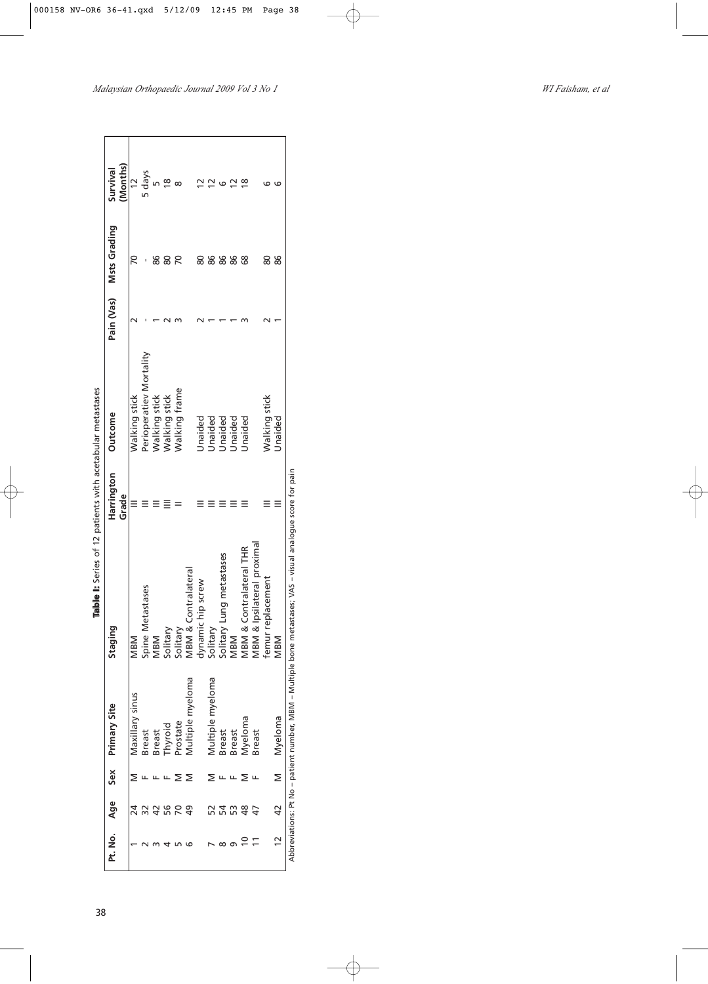| college the second college to college the college to the college to the college to the college to the college to the college to the college to the college to the college to the college to the college to the college to the | Survival            | (Months) | $\frac{1}{2}$   | 5 days                  |                      | $\frac{8}{1}$        |                      |                     |                   |                  |                             | $\simeq$      | $\infty$                   |                            |                   |                         |                                                                                                             |
|-------------------------------------------------------------------------------------------------------------------------------------------------------------------------------------------------------------------------------|---------------------|----------|-----------------|-------------------------|----------------------|----------------------|----------------------|---------------------|-------------------|------------------|-----------------------------|---------------|----------------------------|----------------------------|-------------------|-------------------------|-------------------------------------------------------------------------------------------------------------|
|                                                                                                                                                                                                                               | <b>Msts Grading</b> |          |                 |                         | 86                   | 80                   | 20                   |                     |                   | 86               | 86                          | 86            | 89                         |                            | 80                | 86                      |                                                                                                             |
|                                                                                                                                                                                                                               | Pain (Vas)          |          |                 |                         |                      |                      |                      |                     |                   |                  |                             |               |                            |                            |                   |                         |                                                                                                             |
|                                                                                                                                                                                                                               | <b>Outcome</b>      |          | Walking stick   | Perioperatiev Mortality | <b>Nalking stick</b> | <b>Walking stick</b> | <b>Nalking frame</b> |                     | Jnaided           | Unaided          | Unaided                     | Unaided       | Unaided                    |                            | Walking stick     | Unaided                 |                                                                                                             |
|                                                                                                                                                                                                                               | Harrington          | Grade    |                 |                         |                      |                      |                      |                     |                   |                  |                             |               |                            |                            |                   |                         |                                                                                                             |
|                                                                                                                                                                                                                               | Staging             |          | MBM             | Spine Metastases        | MBM                  | Solitary             | Solitary             | MBM & Contralateral | dynamic hip screw | Solitary         | Lung metastases<br>Solitary | MBM           | Contralateral THR<br>MBM & | MBM & Ipsilateral proximal | femur replacement | MBM                     | Abbreviations: Pt No – patient number, MBM – Multiple bone metastases; VAS – visual analogue score for pain |
|                                                                                                                                                                                                                               | <b>Primary Site</b> |          | Maxillary sinus | Breast                  | <b>Breast</b>        | hyroid               | rostate              | Multiple myeloma    |                   | Multiple myeloma | <b>Breast</b>               | <b>Breast</b> | Myeloma                    | <b>Breast</b>              |                   | Myeloma                 |                                                                                                             |
|                                                                                                                                                                                                                               | Sex                 |          |                 |                         |                      |                      |                      |                     |                   |                  |                             |               |                            |                            |                   | $\overline{\mathsf{z}}$ |                                                                                                             |
|                                                                                                                                                                                                                               | Age                 |          |                 |                         |                      |                      |                      | 9                   |                   |                  | 54                          | 53            | 48                         |                            |                   | $\overline{4}$          |                                                                                                             |
|                                                                                                                                                                                                                               | Pt. No.             |          |                 |                         |                      |                      |                      |                     |                   |                  |                             |               |                            |                            |                   |                         |                                                                                                             |

Table I: Series of 12 patients with acetabular metastases **Table I:** Series of 12 patients with acetabular metastases

## *Malaysian Orthopaedic Journal 2009 Vol 3 No 1 WI Faisham, et al*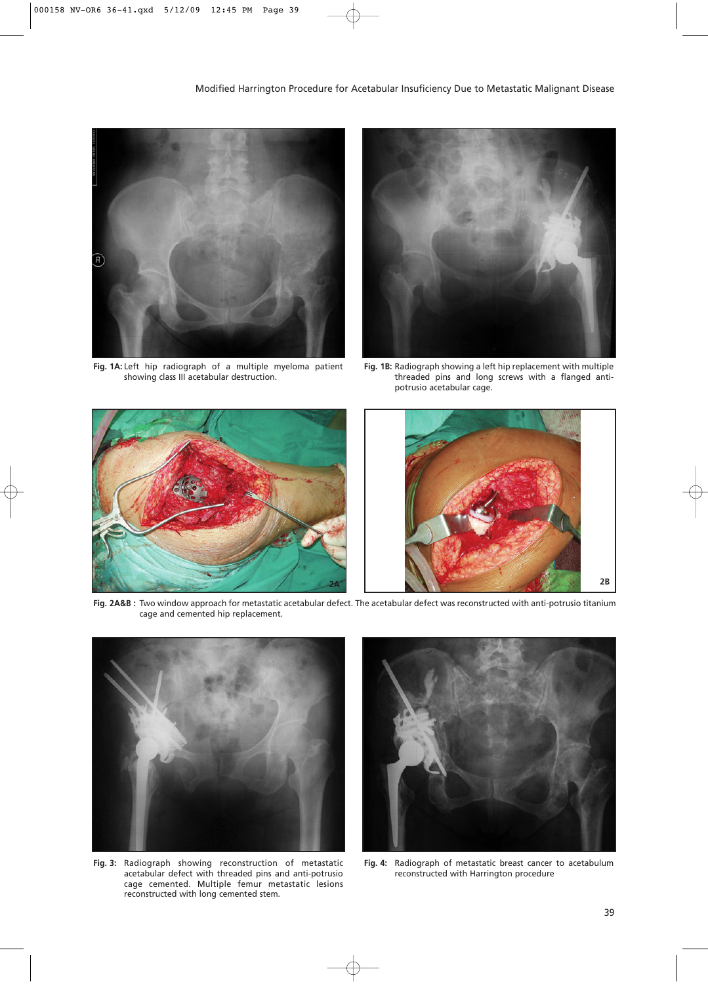

**Fig. 1A:** Left hip radiograph of a multiple myeloma patient showing class III acetabular destruction.



**Fig. 1B:** Radiograph showing a left hip replacement with multiple threaded pins and long screws with a flanged antipotrusio acetabular cage.



**Fig. 2A&B :** Two window approach for metastatic acetabular defect. The acetabular defect was reconstructed with anti-potrusio titanium cage and cemented hip replacement.



**Fig. 3:** Radiograph showing reconstruction of metastatic acetabular defect with threaded pins and anti-potrusio cage cemented. Multiple femur metastatic lesions reconstructed with long cemented stem.



**Fig. 4:** Radiograph of metastatic breast cancer to acetabulum reconstructed with Harrington procedure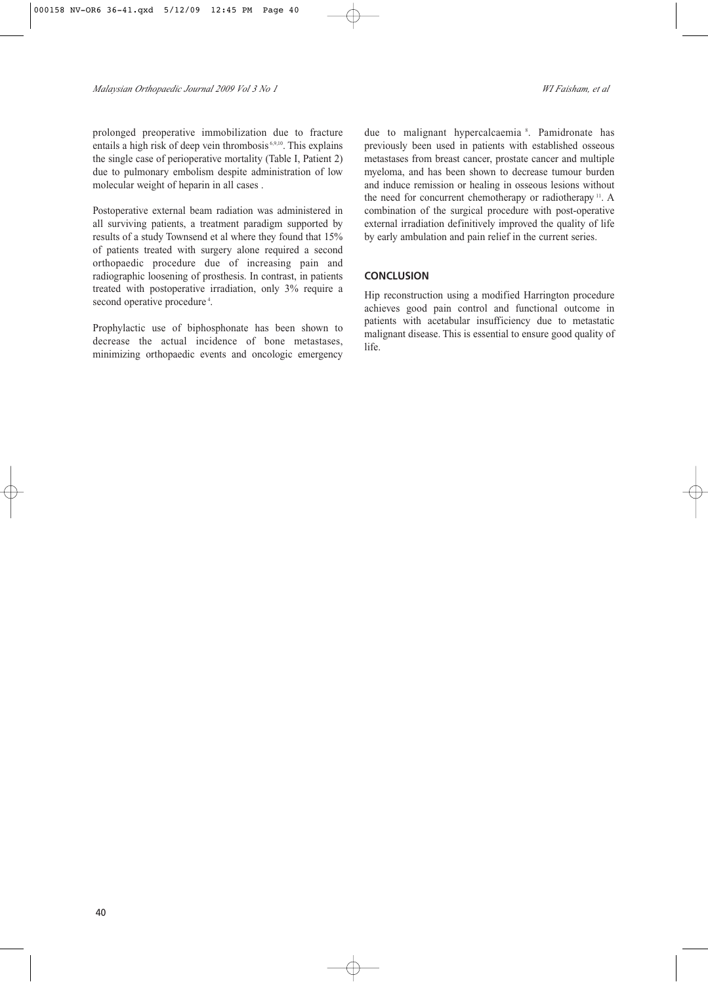prolonged preoperative immobilization due to fracture entails a high risk of deep vein thrombosis 6,9,10. This explains the single case of perioperative mortality (Table I, Patient 2) due to pulmonary embolism despite administration of low molecular weight of heparin in all cases .

Postoperative external beam radiation was administered in all surviving patients, a treatment paradigm supported by results of a study Townsend et al where they found that 15% of patients treated with surgery alone required a second orthopaedic procedure due of increasing pain and radiographic loosening of prosthesis. In contrast, in patients treated with postoperative irradiation, only 3% require a second operative procedure<sup>4</sup>.

Prophylactic use of biphosphonate has been shown to decrease the actual incidence of bone metastases, minimizing orthopaedic events and oncologic emergency

due to malignant hypercalcaemia <sup>8</sup> . Pamidronate has previously been used in patients with established osseous metastases from breast cancer, prostate cancer and multiple myeloma, and has been shown to decrease tumour burden and induce remission or healing in osseous lesions without the need for concurrent chemotherapy or radiotherapy <sup>11</sup>. A combination of the surgical procedure with post-operative external irradiation definitively improved the quality of life by early ambulation and pain relief in the current series.

## **CONCLUSION**

Hip reconstruction using a modified Harrington procedure achieves good pain control and functional outcome in patients with acetabular insufficiency due to metastatic malignant disease. This is essential to ensure good quality of life.